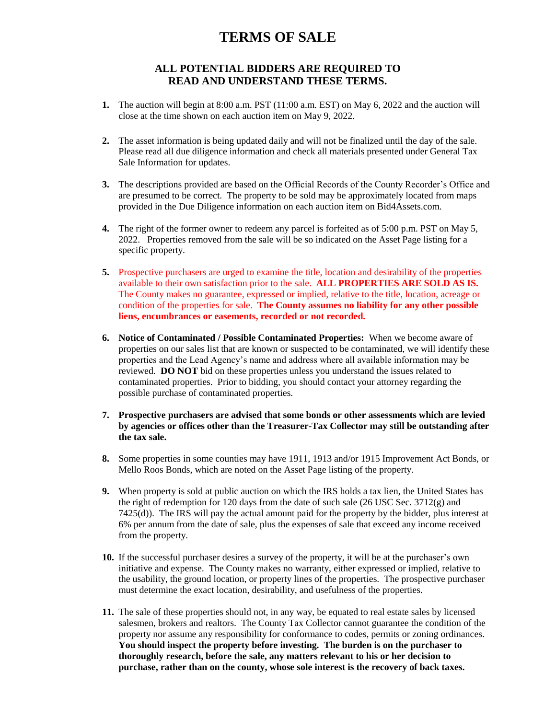## **TERMS OF SALE**

## **ALL POTENTIAL BIDDERS ARE REQUIRED TO READ AND UNDERSTAND THESE TERMS.**

- **1.** The auction will begin at 8:00 a.m. PST (11:00 a.m. EST) on May 6, 2022 and the auction will close at the time shown on each auction item on May 9, 2022.
- **2.** The asset information is being updated daily and will not be finalized until the day of the sale. Please read all due diligence information and check all materials presented under General Tax Sale Information for updates.
- **3.** The descriptions provided are based on the Official Records of the County Recorder's Office and are presumed to be correct. The property to be sold may be approximately located from maps provided in the Due Diligence information on each auction item on Bid4Assets.com.
- **4.** The right of the former owner to redeem any parcel is forfeited as of 5:00 p.m. PST on May 5, 2022. Properties removed from the sale will be so indicated on the Asset Page listing for a specific property.
- **5.** Prospective purchasers are urged to examine the title, location and desirability of the properties available to their own satisfaction prior to the sale. **ALL PROPERTIES ARE SOLD AS IS.**  The County makes no guarantee, expressed or implied, relative to the title, location, acreage or condition of the properties for sale. **The County assumes no liability for any other possible liens, encumbrances or easements, recorded or not recorded.**
- **6. Notice of Contaminated / Possible Contaminated Properties:** When we become aware of properties on our sales list that are known or suspected to be contaminated, we will identify these properties and the Lead Agency's name and address where all available information may be reviewed. **DO NOT** bid on these properties unless you understand the issues related to contaminated properties. Prior to bidding, you should contact your attorney regarding the possible purchase of contaminated properties.
- **7. Prospective purchasers are advised that some bonds or other assessments which are levied by agencies or offices other than the Treasurer-Tax Collector may still be outstanding after the tax sale.**
- **8.** Some properties in some counties may have 1911, 1913 and/or 1915 Improvement Act Bonds, or Mello Roos Bonds, which are noted on the Asset Page listing of the property.
- **9.** When property is sold at public auction on which the IRS holds a tax lien, the United States has the right of redemption for 120 days from the date of such sale  $(26 \text{ USC} \text{ Sec. } 3712(g)$  and 7425(d)). The IRS will pay the actual amount paid for the property by the bidder, plus interest at 6% per annum from the date of sale, plus the expenses of sale that exceed any income received from the property.
- **10.** If the successful purchaser desires a survey of the property, it will be at the purchaser's own initiative and expense. The County makes no warranty, either expressed or implied, relative to the usability, the ground location, or property lines of the properties. The prospective purchaser must determine the exact location, desirability, and usefulness of the properties.
- **11.** The sale of these properties should not, in any way, be equated to real estate sales by licensed salesmen, brokers and realtors. The County Tax Collector cannot guarantee the condition of the property nor assume any responsibility for conformance to codes, permits or zoning ordinances. **You should inspect the property before investing. The burden is on the purchaser to thoroughly research, before the sale, any matters relevant to his or her decision to purchase, rather than on the county, whose sole interest is the recovery of back taxes.**